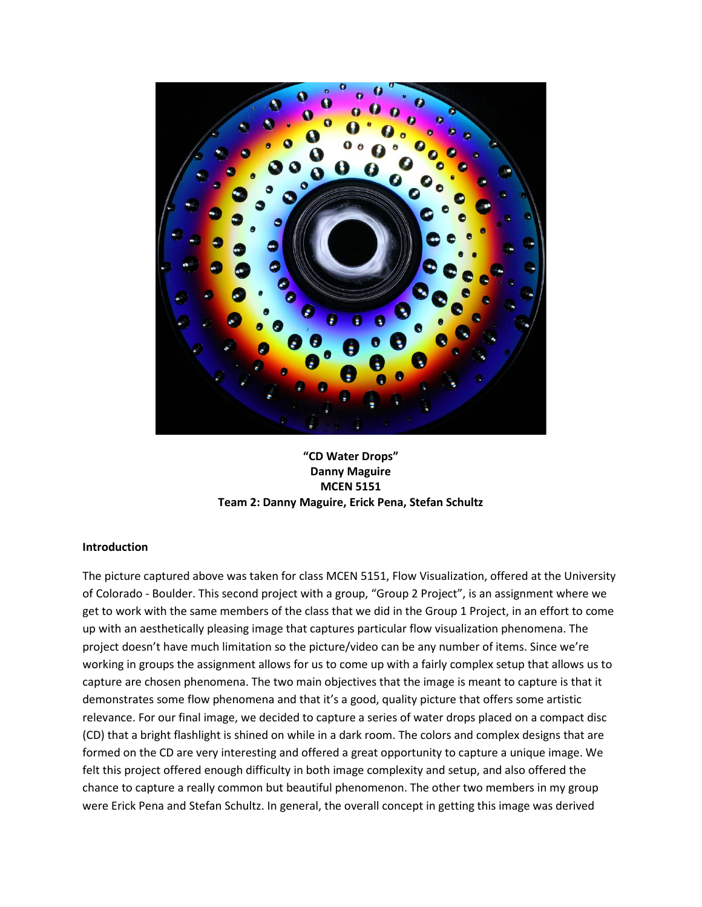

**"CD Water Drops" Danny Maguire MCEN 5151 Team 2: Danny Maguire, Erick Pena, Stefan Schultz**

### **Introduction**

The picture captured above was taken for class MCEN 5151, Flow Visualization, offered at the University of Colorado - Boulder. This second project with a group, "Group 2 Project", is an assignment where we get to work with the same members of the class that we did in the Group 1 Project, in an effort to come up with an aesthetically pleasing image that captures particular flow visualization phenomena. The project doesn't have much limitation so the picture/video can be any number of items. Since we're working in groups the assignment allows for us to come up with a fairly complex setup that allows us to capture are chosen phenomena. The two main objectives that the image is meant to capture is that it demonstrates some flow phenomena and that it's a good, quality picture that offers some artistic relevance. For our final image, we decided to capture a series of water drops placed on a compact disc (CD) that a bright flashlight is shined on while in a dark room. The colors and complex designs that are formed on the CD are very interesting and offered a great opportunity to capture a unique image. We felt this project offered enough difficulty in both image complexity and setup, and also offered the chance to capture a really common but beautiful phenomenon. The other two members in my group were Erick Pena and Stefan Schultz. In general, the overall concept in getting this image was derived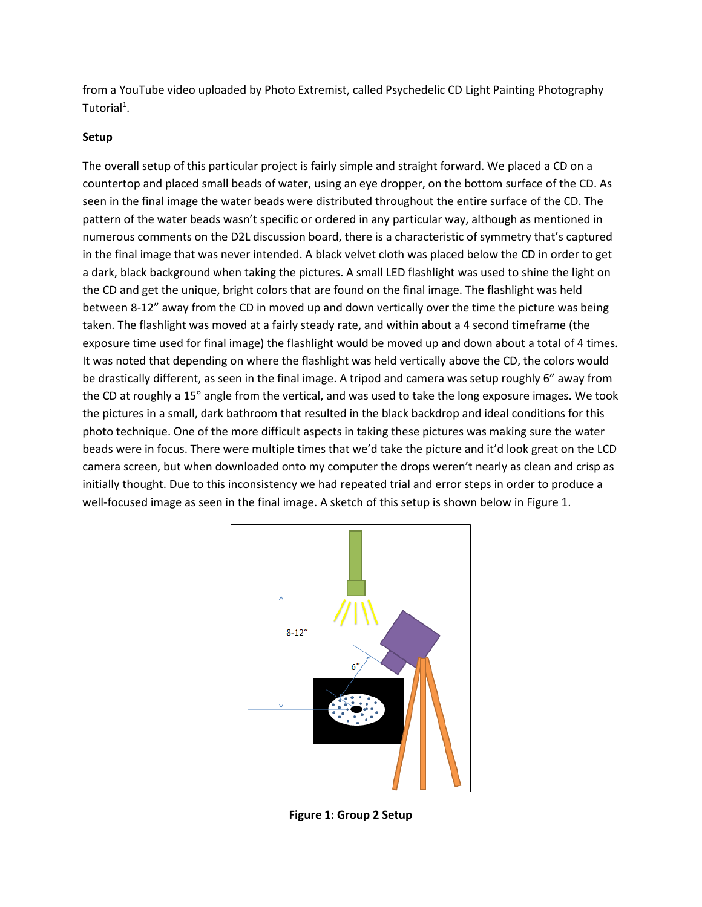from a YouTube video uploaded by Photo Extremist, called Psychedelic CD Light Painting Photography Tutorial<sup>1</sup>.

## **Setup**

The overall setup of this particular project is fairly simple and straight forward. We placed a CD on a countertop and placed small beads of water, using an eye dropper, on the bottom surface of the CD. As seen in the final image the water beads were distributed throughout the entire surface of the CD. The pattern of the water beads wasn't specific or ordered in any particular way, although as mentioned in numerous comments on the D2L discussion board, there is a characteristic of symmetry that's captured in the final image that was never intended. A black velvet cloth was placed below the CD in order to get a dark, black background when taking the pictures. A small LED flashlight was used to shine the light on the CD and get the unique, bright colors that are found on the final image. The flashlight was held between 8-12" away from the CD in moved up and down vertically over the time the picture was being taken. The flashlight was moved at a fairly steady rate, and within about a 4 second timeframe (the exposure time used for final image) the flashlight would be moved up and down about a total of 4 times. It was noted that depending on where the flashlight was held vertically above the CD, the colors would be drastically different, as seen in the final image. A tripod and camera was setup roughly 6" away from the CD at roughly a 15° angle from the vertical, and was used to take the long exposure images. We took the pictures in a small, dark bathroom that resulted in the black backdrop and ideal conditions for this photo technique. One of the more difficult aspects in taking these pictures was making sure the water beads were in focus. There were multiple times that we'd take the picture and it'd look great on the LCD camera screen, but when downloaded onto my computer the drops weren't nearly as clean and crisp as initially thought. Due to this inconsistency we had repeated trial and error steps in order to produce a well-focused image as seen in the final image. A sketch of this setup is shown below in Figure 1.



**Figure 1: Group 2 Setup**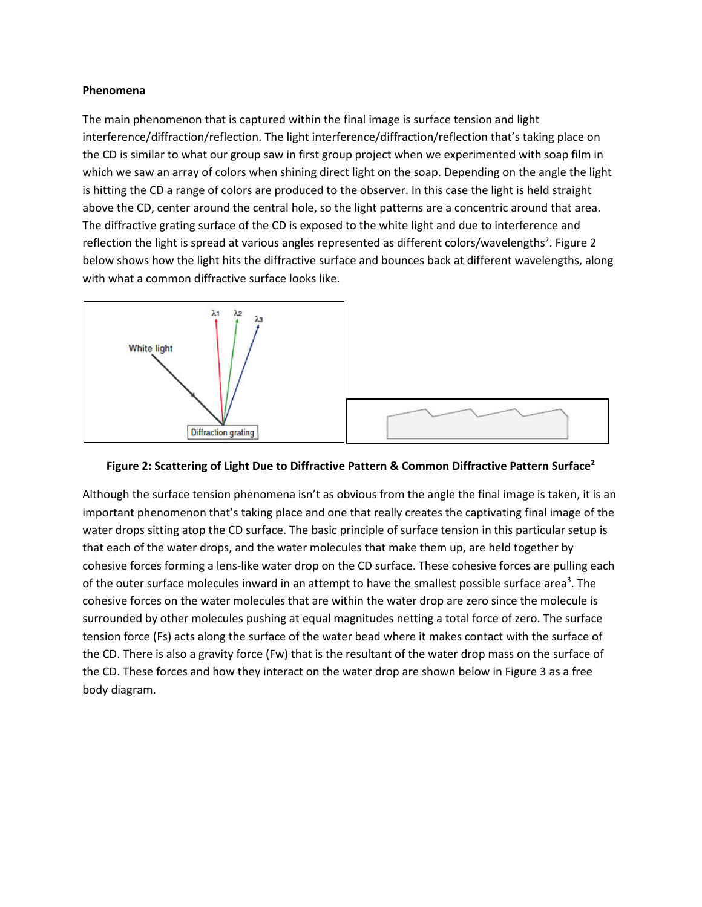### **Phenomena**

The main phenomenon that is captured within the final image is surface tension and light interference/diffraction/reflection. The light interference/diffraction/reflection that's taking place on the CD is similar to what our group saw in first group project when we experimented with soap film in which we saw an array of colors when shining direct light on the soap. Depending on the angle the light is hitting the CD a range of colors are produced to the observer. In this case the light is held straight above the CD, center around the central hole, so the light patterns are a concentric around that area. The diffractive grating surface of the CD is exposed to the white light and due to interference and reflection the light is spread at various angles represented as different colors/wavelengths<sup>2</sup>. Figure 2 below shows how the light hits the diffractive surface and bounces back at different wavelengths, along with what a common diffractive surface looks like.





Although the surface tension phenomena isn't as obvious from the angle the final image is taken, it is an important phenomenon that's taking place and one that really creates the captivating final image of the water drops sitting atop the CD surface. The basic principle of surface tension in this particular setup is that each of the water drops, and the water molecules that make them up, are held together by cohesive forces forming a lens-like water drop on the CD surface. These cohesive forces are pulling each of the outer surface molecules inward in an attempt to have the smallest possible surface area<sup>3</sup>. The cohesive forces on the water molecules that are within the water drop are zero since the molecule is surrounded by other molecules pushing at equal magnitudes netting a total force of zero. The surface tension force (Fs) acts along the surface of the water bead where it makes contact with the surface of the CD. There is also a gravity force (Fw) that is the resultant of the water drop mass on the surface of the CD. These forces and how they interact on the water drop are shown below in Figure 3 as a free body diagram.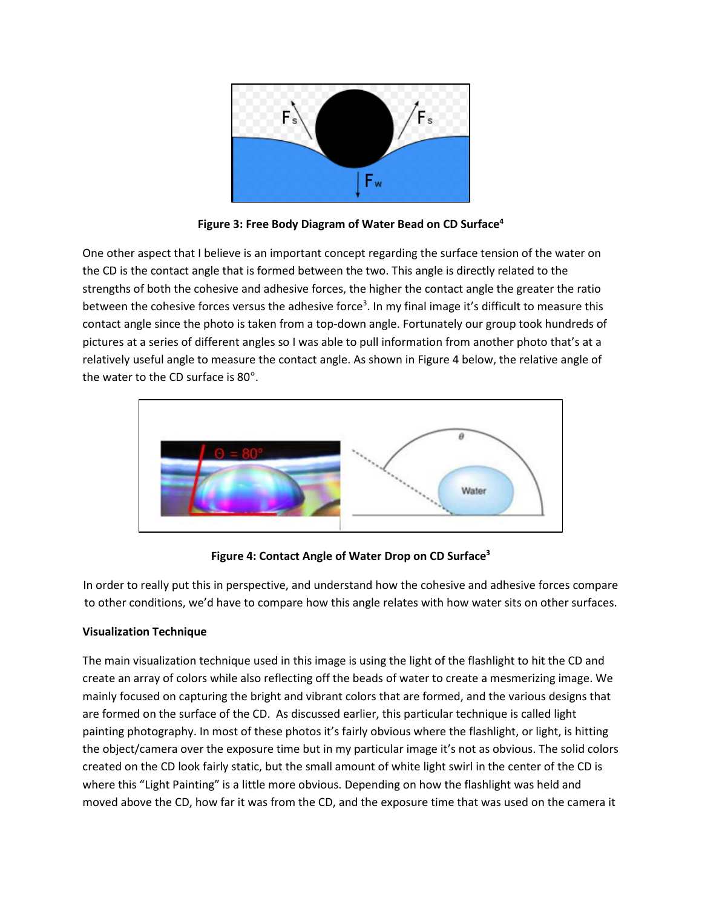

**Figure 3: Free Body Diagram of Water Bead on CD Surface4**

One other aspect that I believe is an important concept regarding the surface tension of the water on the CD is the contact angle that is formed between the two. This angle is directly related to the strengths of both the cohesive and adhesive forces, the higher the contact angle the greater the ratio between the cohesive forces versus the adhesive force<sup>3</sup>. In my final image it's difficult to measure this contact angle since the photo is taken from a top-down angle. Fortunately our group took hundreds of pictures at a series of different angles so I was able to pull information from another photo that's at a relatively useful angle to measure the contact angle. As shown in Figure 4 below, the relative angle of the water to the CD surface is 80°.



**Figure 4: Contact Angle of Water Drop on CD Surface3**

In order to really put this in perspective, and understand how the cohesive and adhesive forces compare to other conditions, we'd have to compare how this angle relates with how water sits on other surfaces.

# **Visualization Technique**

The main visualization technique used in this image is using the light of the flashlight to hit the CD and create an array of colors while also reflecting off the beads of water to create a mesmerizing image. We mainly focused on capturing the bright and vibrant colors that are formed, and the various designs that are formed on the surface of the CD. As discussed earlier, this particular technique is called light painting photography. In most of these photos it's fairly obvious where the flashlight, or light, is hitting the object/camera over the exposure time but in my particular image it's not as obvious. The solid colors created on the CD look fairly static, but the small amount of white light swirl in the center of the CD is where this "Light Painting" is a little more obvious. Depending on how the flashlight was held and moved above the CD, how far it was from the CD, and the exposure time that was used on the camera it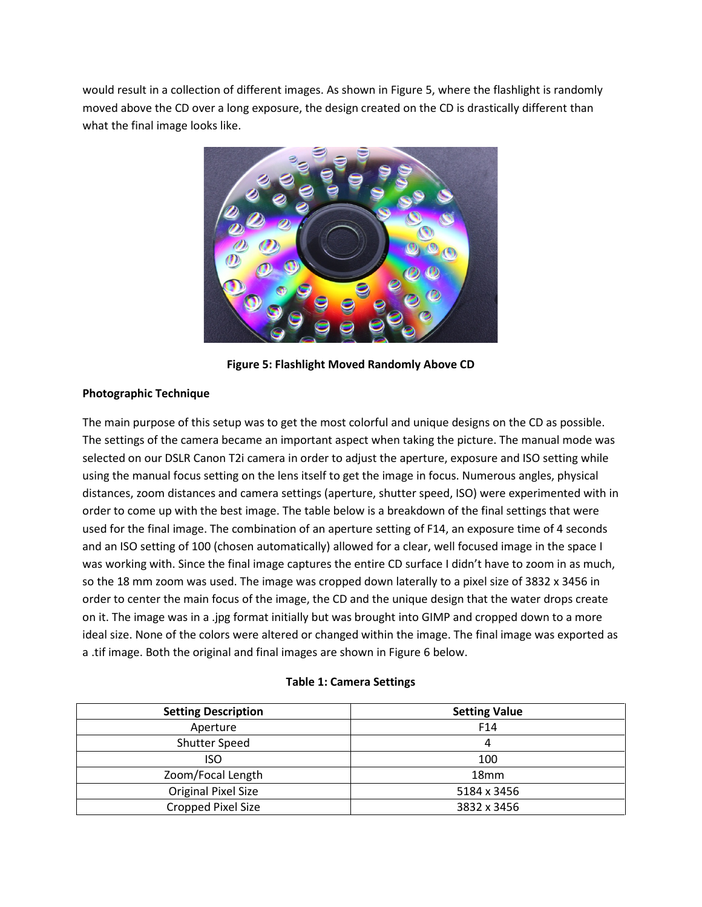would result in a collection of different images. As shown in Figure 5, where the flashlight is randomly moved above the CD over a long exposure, the design created on the CD is drastically different than what the final image looks like.



**Figure 5: Flashlight Moved Randomly Above CD**

## **Photographic Technique**

The main purpose of this setup was to get the most colorful and unique designs on the CD as possible. The settings of the camera became an important aspect when taking the picture. The manual mode was selected on our DSLR Canon T2i camera in order to adjust the aperture, exposure and ISO setting while using the manual focus setting on the lens itself to get the image in focus. Numerous angles, physical distances, zoom distances and camera settings (aperture, shutter speed, ISO) were experimented with in order to come up with the best image. The table below is a breakdown of the final settings that were used for the final image. The combination of an aperture setting of F14, an exposure time of 4 seconds and an ISO setting of 100 (chosen automatically) allowed for a clear, well focused image in the space I was working with. Since the final image captures the entire CD surface I didn't have to zoom in as much, so the 18 mm zoom was used. The image was cropped down laterally to a pixel size of 3832 x 3456 in order to center the main focus of the image, the CD and the unique design that the water drops create on it. The image was in a .jpg format initially but was brought into GIMP and cropped down to a more ideal size. None of the colors were altered or changed within the image. The final image was exported as a .tif image. Both the original and final images are shown in Figure 6 below.

### **Table 1: Camera Settings**

| <b>Setting Description</b> | <b>Setting Value</b> |
|----------------------------|----------------------|
| Aperture                   | F <sub>14</sub>      |
| Shutter Speed              | 4                    |
| iso                        | 100                  |
| Zoom/Focal Length          | 18 <sub>mm</sub>     |
| <b>Original Pixel Size</b> | 5184 x 3456          |
| Cropped Pixel Size         | 3832 x 3456          |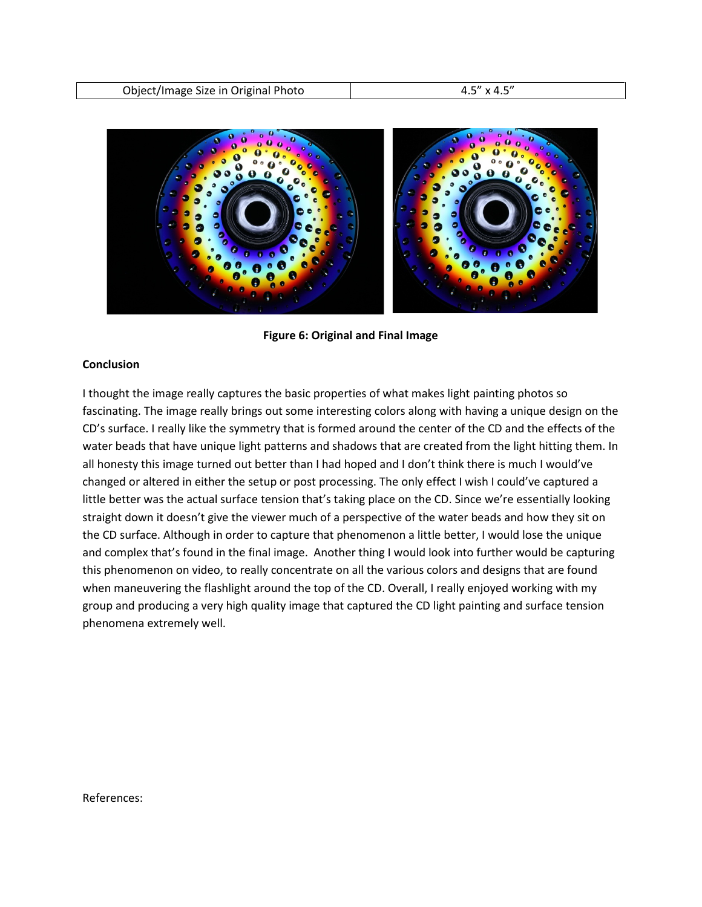

**Figure 6: Original and Final Image** 

### **Conclusion**

I thought the image really captures the basic properties of what makes light painting photos so fascinating. The image really brings out some interesting colors along with having a unique design on the CD's surface. I really like the symmetry that is formed around the center of the CD and the effects of the water beads that have unique light patterns and shadows that are created from the light hitting them. In all honesty this image turned out better than I had hoped and I don't think there is much I would've changed or altered in either the setup or post processing. The only effect I wish I could've captured a little better was the actual surface tension that's taking place on the CD. Since we're essentially looking straight down it doesn't give the viewer much of a perspective of the water beads and how they sit on the CD surface. Although in order to capture that phenomenon a little better, I would lose the unique and complex that's found in the final image. Another thing I would look into further would be capturing this phenomenon on video, to really concentrate on all the various colors and designs that are found when maneuvering the flashlight around the top of the CD. Overall, I really enjoyed working with my group and producing a very high quality image that captured the CD light painting and surface tension phenomena extremely well.

References: